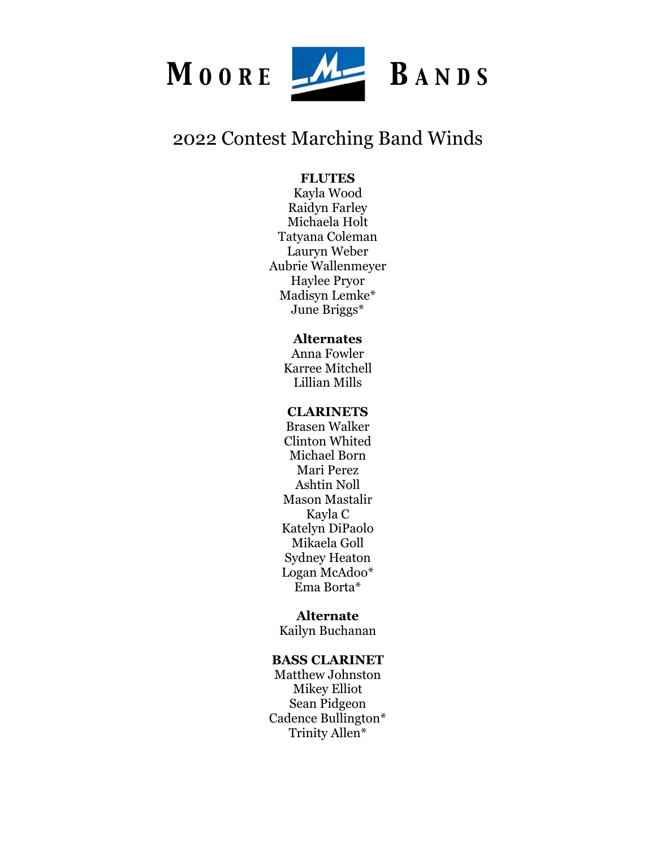

# 2022 Contest Marching Band Winds

# **FLUTES**

Kayla Wood Raidyn Farley Michaela Holt Tatyana Coleman Lauryn Weber Aubrie Wallenmeyer Haylee Pryor Madisyn Lemke\* June Briggs\*

# **Alternates**

Anna Fowler Karree Mitchell Lillian Mills

# **CLARINETS**

Brasen Walker Clinton Whited Michael Born Mari Perez Ashtin Noll Mason Mastalir Kayla C Katelyn DiPaolo Mikaela Goll Sydney Heaton Logan McAdoo\* Ema Borta\*

## **Alternate**

Kailyn Buchanan

# **BASS CLARINET**

Matthew Johnston Mikey Elliot Sean Pidgeon Cadence Bullington\* Trinity Allen\*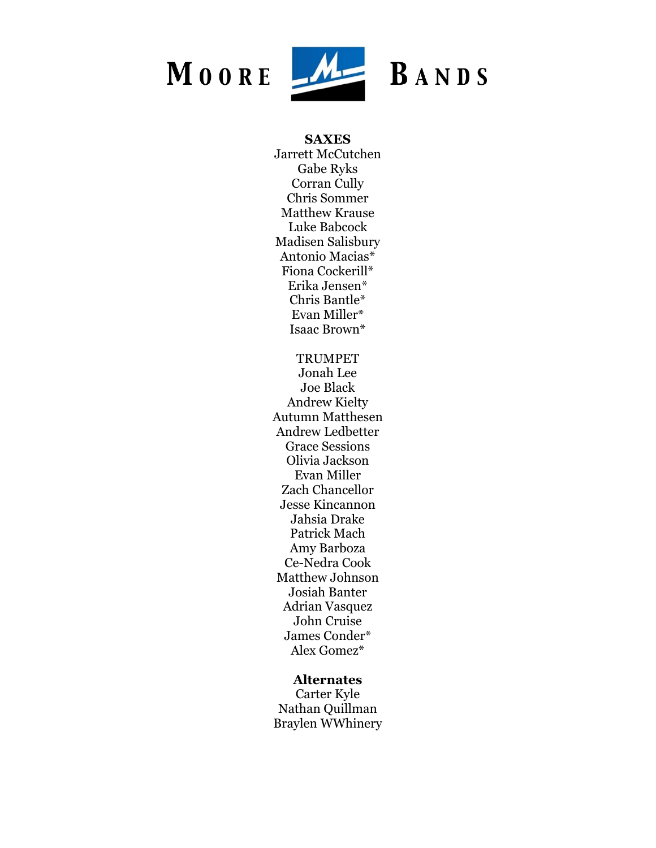

#### **SAXES**

Jarrett McCutchen Gabe Ryks Corran Cully Chris Sommer Matthew Krause Luke Babcock Madisen Salisbury Antonio Macias\* Fiona Cockerill\* Erika Jensen\* Chris Bantle\* Evan Miller\* Isaac Brown\*

TRUMPET Jonah Lee Joe Black Andrew Kielty Autumn Matthesen Andrew Ledbetter Grace Sessions Olivia Jackson Evan Miller Zach Chancellor Jesse Kincannon Jahsia Drake Patrick Mach Amy Barboza Ce-Nedra Cook Matthew Johnson Josiah Banter Adrian Vasquez John Cruise James Conder\* Alex Gomez\*

## **Alternates**

Carter Kyle Nathan Quillman Braylen WWhinery